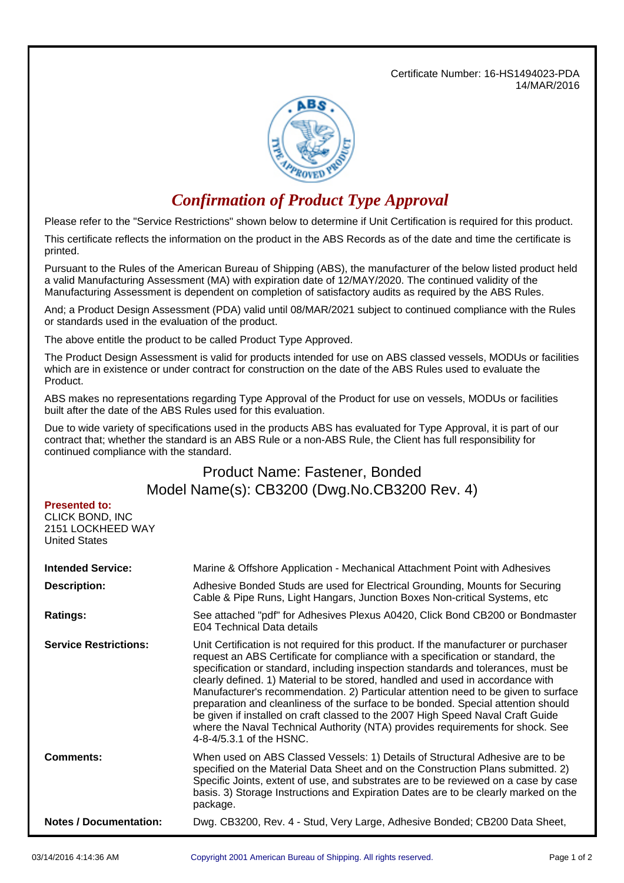Certificate Number: 16-HS1494023-PDA 14/MAR/2016



## *Confirmation of Product Type Approval*

Please refer to the "Service Restrictions" shown below to determine if Unit Certification is required for this product.

This certificate reflects the information on the product in the ABS Records as of the date and time the certificate is printed.

Pursuant to the Rules of the American Bureau of Shipping (ABS), the manufacturer of the below listed product held a valid Manufacturing Assessment (MA) with expiration date of 12/MAY/2020. The continued validity of the Manufacturing Assessment is dependent on completion of satisfactory audits as required by the ABS Rules.

And; a Product Design Assessment (PDA) valid until 08/MAR/2021 subject to continued compliance with the Rules or standards used in the evaluation of the product.

The above entitle the product to be called Product Type Approved.

The Product Design Assessment is valid for products intended for use on ABS classed vessels, MODUs or facilities which are in existence or under contract for construction on the date of the ABS Rules used to evaluate the Product.

ABS makes no representations regarding Type Approval of the Product for use on vessels, MODUs or facilities built after the date of the ABS Rules used for this evaluation.

Due to wide variety of specifications used in the products ABS has evaluated for Type Approval, it is part of our contract that; whether the standard is an ABS Rule or a non-ABS Rule, the Client has full responsibility for continued compliance with the standard.

## Product Name: Fastener, Bonded Model Name(s): CB3200 (Dwg.No.CB3200 Rev. 4)

## **Presented to:**

CLICK BOND, INC 2151 LOCKHEED WAY United States

| <b>Intended Service:</b>      | Marine & Offshore Application - Mechanical Attachment Point with Adhesives                                                                                                                                                                                                                                                                                                                                                                                                                                                                                                                                                                                                                                                  |  |  |
|-------------------------------|-----------------------------------------------------------------------------------------------------------------------------------------------------------------------------------------------------------------------------------------------------------------------------------------------------------------------------------------------------------------------------------------------------------------------------------------------------------------------------------------------------------------------------------------------------------------------------------------------------------------------------------------------------------------------------------------------------------------------------|--|--|
| <b>Description:</b>           | Adhesive Bonded Studs are used for Electrical Grounding, Mounts for Securing<br>Cable & Pipe Runs, Light Hangars, Junction Boxes Non-critical Systems, etc                                                                                                                                                                                                                                                                                                                                                                                                                                                                                                                                                                  |  |  |
| <b>Ratings:</b>               | See attached "pdf" for Adhesives Plexus A0420, Click Bond CB200 or Bondmaster<br>E04 Technical Data details                                                                                                                                                                                                                                                                                                                                                                                                                                                                                                                                                                                                                 |  |  |
| <b>Service Restrictions:</b>  | Unit Certification is not required for this product. If the manufacturer or purchaser<br>request an ABS Certificate for compliance with a specification or standard, the<br>specification or standard, including inspection standards and tolerances, must be<br>clearly defined. 1) Material to be stored, handled and used in accordance with<br>Manufacturer's recommendation. 2) Particular attention need to be given to surface<br>preparation and cleanliness of the surface to be bonded. Special attention should<br>be given if installed on craft classed to the 2007 High Speed Naval Craft Guide<br>where the Naval Technical Authority (NTA) provides requirements for shock. See<br>4-8-4/5.3.1 of the HSNC. |  |  |
| <b>Comments:</b>              | When used on ABS Classed Vessels: 1) Details of Structural Adhesive are to be<br>specified on the Material Data Sheet and on the Construction Plans submitted. 2)<br>Specific Joints, extent of use, and substrates are to be reviewed on a case by case<br>basis. 3) Storage Instructions and Expiration Dates are to be clearly marked on the<br>package.                                                                                                                                                                                                                                                                                                                                                                 |  |  |
| <b>Notes / Documentation:</b> | Dwg. CB3200, Rev. 4 - Stud, Very Large, Adhesive Bonded; CB200 Data Sheet,                                                                                                                                                                                                                                                                                                                                                                                                                                                                                                                                                                                                                                                  |  |  |